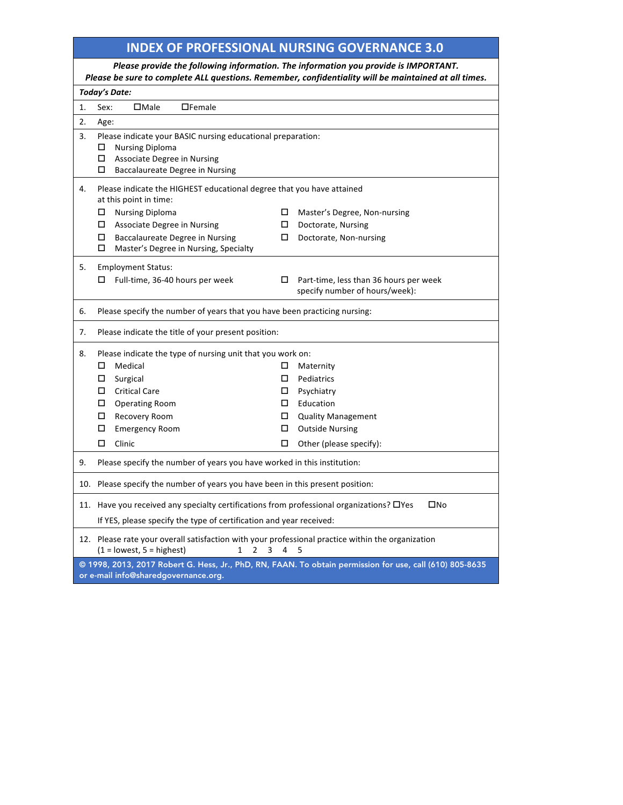## **INDEX OF PROFESSIONAL NURSING GOVERNANCE 3.0**

| Please provide the following information. The information you provide is IMPORTANT.<br>Please be sure to complete ALL questions. Remember, confidentiality will be maintained at all times. |                                                                                                                                                                        |  |                                                                       |  |        |                                                                                                          |  |  |
|---------------------------------------------------------------------------------------------------------------------------------------------------------------------------------------------|------------------------------------------------------------------------------------------------------------------------------------------------------------------------|--|-----------------------------------------------------------------------|--|--------|----------------------------------------------------------------------------------------------------------|--|--|
| <b>Today's Date:</b>                                                                                                                                                                        |                                                                                                                                                                        |  |                                                                       |  |        |                                                                                                          |  |  |
| 1.                                                                                                                                                                                          | Sex:<br>$\square$ Male                                                                                                                                                 |  | $\Box$ Female                                                         |  |        |                                                                                                          |  |  |
| 2.                                                                                                                                                                                          | Age:                                                                                                                                                                   |  |                                                                       |  |        |                                                                                                          |  |  |
| 3.                                                                                                                                                                                          |                                                                                                                                                                        |  | Please indicate your BASIC nursing educational preparation:           |  |        |                                                                                                          |  |  |
|                                                                                                                                                                                             | <b>Nursing Diploma</b>                                                                                                                                                 |  |                                                                       |  |        |                                                                                                          |  |  |
|                                                                                                                                                                                             | П.<br>0                                                                                                                                                                |  | Associate Degree in Nursing<br><b>Baccalaureate Degree in Nursing</b> |  |        |                                                                                                          |  |  |
|                                                                                                                                                                                             |                                                                                                                                                                        |  |                                                                       |  |        |                                                                                                          |  |  |
| 4.                                                                                                                                                                                          |                                                                                                                                                                        |  |                                                                       |  |        | Please indicate the HIGHEST educational degree that you have attained                                    |  |  |
|                                                                                                                                                                                             | at this point in time:<br><b>Nursing Diploma</b><br>$\Box$                                                                                                             |  |                                                                       |  |        | Master's Degree, Non-nursing                                                                             |  |  |
|                                                                                                                                                                                             | $\square$ Associate Degree in Nursing                                                                                                                                  |  |                                                                       |  |        | Doctorate, Nursing                                                                                       |  |  |
|                                                                                                                                                                                             | $\Box$                                                                                                                                                                 |  | <b>Baccalaureate Degree in Nursing</b>                                |  | □      | Doctorate, Non-nursing                                                                                   |  |  |
|                                                                                                                                                                                             | □                                                                                                                                                                      |  | Master's Degree in Nursing, Specialty                                 |  |        |                                                                                                          |  |  |
| 5.                                                                                                                                                                                          | <b>Employment Status:</b>                                                                                                                                              |  |                                                                       |  |        |                                                                                                          |  |  |
|                                                                                                                                                                                             |                                                                                                                                                                        |  | Full-time, 36-40 hours per week                                       |  | 0      | Part-time, less than 36 hours per week                                                                   |  |  |
|                                                                                                                                                                                             |                                                                                                                                                                        |  |                                                                       |  |        | specify number of hours/week):                                                                           |  |  |
| 6.                                                                                                                                                                                          |                                                                                                                                                                        |  |                                                                       |  |        | Please specify the number of years that you have been practicing nursing:                                |  |  |
| 7.                                                                                                                                                                                          |                                                                                                                                                                        |  | Please indicate the title of your present position:                   |  |        |                                                                                                          |  |  |
| 8.                                                                                                                                                                                          |                                                                                                                                                                        |  | Please indicate the type of nursing unit that you work on:            |  |        |                                                                                                          |  |  |
|                                                                                                                                                                                             | Medical<br>0                                                                                                                                                           |  |                                                                       |  | □      | Maternity                                                                                                |  |  |
|                                                                                                                                                                                             | $\Box$<br>Surgical                                                                                                                                                     |  |                                                                       |  | $\Box$ | Pediatrics                                                                                               |  |  |
|                                                                                                                                                                                             | $\Box$ Critical Care                                                                                                                                                   |  |                                                                       |  |        | Psychiatry                                                                                               |  |  |
|                                                                                                                                                                                             | □<br><b>Operating Room</b>                                                                                                                                             |  |                                                                       |  |        | Education                                                                                                |  |  |
|                                                                                                                                                                                             | $\Box$<br>Recovery Room                                                                                                                                                |  |                                                                       |  | $\Box$ | <b>Quality Management</b>                                                                                |  |  |
|                                                                                                                                                                                             | П.<br><b>Emergency Room</b>                                                                                                                                            |  |                                                                       |  | □      | <b>Outside Nursing</b>                                                                                   |  |  |
|                                                                                                                                                                                             | □<br>Clinic                                                                                                                                                            |  |                                                                       |  | □      | Other (please specify):                                                                                  |  |  |
| 9.                                                                                                                                                                                          |                                                                                                                                                                        |  |                                                                       |  |        | Please specify the number of years you have worked in this institution:                                  |  |  |
|                                                                                                                                                                                             |                                                                                                                                                                        |  |                                                                       |  |        | 10. Please specify the number of years you have been in this present position:                           |  |  |
|                                                                                                                                                                                             |                                                                                                                                                                        |  |                                                                       |  |        | 11. Have you received any specialty certifications from professional organizations? OYes<br>$\square$ No |  |  |
|                                                                                                                                                                                             | If YES, please specify the type of certification and year received:                                                                                                    |  |                                                                       |  |        |                                                                                                          |  |  |
|                                                                                                                                                                                             | 12. Please rate your overall satisfaction with your professional practice within the organization<br>$(1 =$ lowest, 5 = highest)<br>$\overline{2}$<br>3<br>5<br>1<br>4 |  |                                                                       |  |        |                                                                                                          |  |  |
| @ 1998, 2013, 2017 Robert G. Hess, Jr., PhD, RN, FAAN. To obtain permission for use, call (610) 805-8635<br>or e-mail info@sharedgovernance.org.                                            |                                                                                                                                                                        |  |                                                                       |  |        |                                                                                                          |  |  |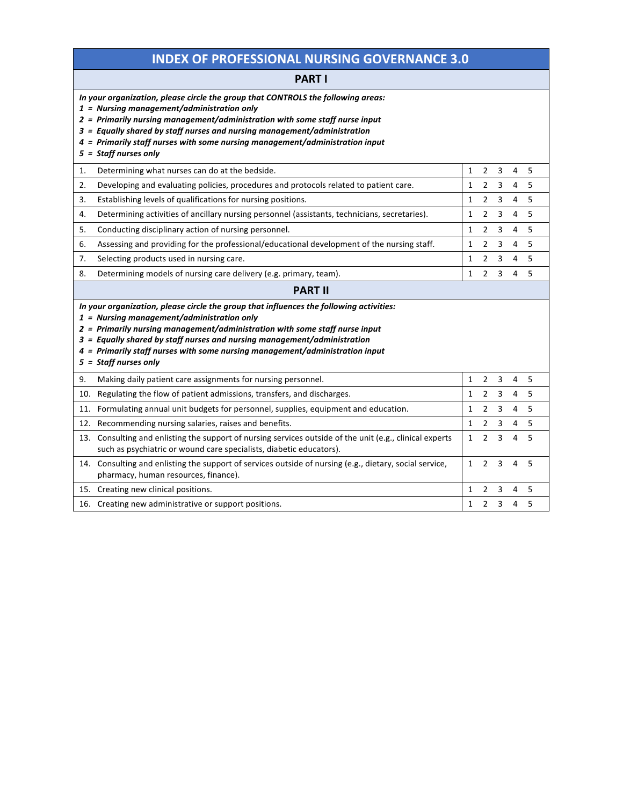## **INDEX OF PROFESSIONAL NURSING GOVERNANCE 3.0**

### **PART I**

|                                                                                                                                                                                                                                                                                                                                                                                                             | In your organization, please circle the group that CONTROLS the following areas:<br>$1$ = Nursing management/administration only<br>2 = Primarily nursing management/administration with some staff nurse input<br>3 = Equally shared by staff nurses and nursing management/administration<br>4 = Primarily staff nurses with some nursing management/administration input<br>$5 =$ Staff nurses only |              |                |   |   |   |  |
|-------------------------------------------------------------------------------------------------------------------------------------------------------------------------------------------------------------------------------------------------------------------------------------------------------------------------------------------------------------------------------------------------------------|--------------------------------------------------------------------------------------------------------------------------------------------------------------------------------------------------------------------------------------------------------------------------------------------------------------------------------------------------------------------------------------------------------|--------------|----------------|---|---|---|--|
| 1.                                                                                                                                                                                                                                                                                                                                                                                                          | Determining what nurses can do at the bedside.                                                                                                                                                                                                                                                                                                                                                         | 1            | $\overline{2}$ | 3 | 4 | 5 |  |
| 2.                                                                                                                                                                                                                                                                                                                                                                                                          | Developing and evaluating policies, procedures and protocols related to patient care.                                                                                                                                                                                                                                                                                                                  | $\mathbf{1}$ | $\overline{2}$ | 3 | 4 | 5 |  |
| 3.                                                                                                                                                                                                                                                                                                                                                                                                          | Establishing levels of qualifications for nursing positions.                                                                                                                                                                                                                                                                                                                                           | 1            | 2              | 3 | 4 | 5 |  |
| 4.                                                                                                                                                                                                                                                                                                                                                                                                          | Determining activities of ancillary nursing personnel (assistants, technicians, secretaries).                                                                                                                                                                                                                                                                                                          | 1            | $\overline{2}$ | 3 | 4 | 5 |  |
| 5.                                                                                                                                                                                                                                                                                                                                                                                                          | Conducting disciplinary action of nursing personnel.                                                                                                                                                                                                                                                                                                                                                   | 1            | $\overline{2}$ | 3 | 4 | 5 |  |
| 6.                                                                                                                                                                                                                                                                                                                                                                                                          | Assessing and providing for the professional/educational development of the nursing staff.                                                                                                                                                                                                                                                                                                             | 1            | $\overline{2}$ | 3 | 4 | 5 |  |
| 7.                                                                                                                                                                                                                                                                                                                                                                                                          | Selecting products used in nursing care.                                                                                                                                                                                                                                                                                                                                                               | 1            | $\overline{2}$ | 3 | 4 | 5 |  |
| 8.                                                                                                                                                                                                                                                                                                                                                                                                          | Determining models of nursing care delivery (e.g. primary, team).                                                                                                                                                                                                                                                                                                                                      | 1            | 2              | 3 | 4 | 5 |  |
|                                                                                                                                                                                                                                                                                                                                                                                                             | <b>PART II</b>                                                                                                                                                                                                                                                                                                                                                                                         |              |                |   |   |   |  |
| In your organization, please circle the group that influences the following activities:<br>$1$ = Nursing management/administration only<br>2 = Primarily nursing management/administration with some staff nurse input<br>3 = Equally shared by staff nurses and nursing management/administration<br>4 = Primarily staff nurses with some nursing management/administration input<br>5 = Staff nurses only |                                                                                                                                                                                                                                                                                                                                                                                                        |              |                |   |   |   |  |
| 9.                                                                                                                                                                                                                                                                                                                                                                                                          | Making daily patient care assignments for nursing personnel.                                                                                                                                                                                                                                                                                                                                           | $\mathbf{1}$ | $\overline{2}$ | 3 | 4 | 5 |  |
| 10.                                                                                                                                                                                                                                                                                                                                                                                                         | Regulating the flow of patient admissions, transfers, and discharges.                                                                                                                                                                                                                                                                                                                                  | 1            | $\overline{2}$ | 3 | 4 | 5 |  |
|                                                                                                                                                                                                                                                                                                                                                                                                             | 11. Formulating annual unit budgets for personnel, supplies, equipment and education.                                                                                                                                                                                                                                                                                                                  | 1            | 2              | 3 | 4 | 5 |  |
|                                                                                                                                                                                                                                                                                                                                                                                                             | 12. Recommending nursing salaries, raises and benefits.                                                                                                                                                                                                                                                                                                                                                | 1            | $\overline{2}$ | 3 | 4 | 5 |  |
|                                                                                                                                                                                                                                                                                                                                                                                                             | 13. Consulting and enlisting the support of nursing services outside of the unit (e.g., clinical experts<br>such as psychiatric or wound care specialists, diabetic educators).                                                                                                                                                                                                                        | 1            | 2              | 3 | 4 | 5 |  |
|                                                                                                                                                                                                                                                                                                                                                                                                             | 14. Consulting and enlisting the support of services outside of nursing (e.g., dietary, social service,<br>pharmacy, human resources, finance).                                                                                                                                                                                                                                                        | $\mathbf{1}$ | $\overline{2}$ | 3 | 4 | 5 |  |
|                                                                                                                                                                                                                                                                                                                                                                                                             | 15. Creating new clinical positions.                                                                                                                                                                                                                                                                                                                                                                   | 1            | $\overline{2}$ | 3 | 4 | 5 |  |
|                                                                                                                                                                                                                                                                                                                                                                                                             | 16. Creating new administrative or support positions.                                                                                                                                                                                                                                                                                                                                                  | 1            | $\overline{2}$ | 3 | 4 | 5 |  |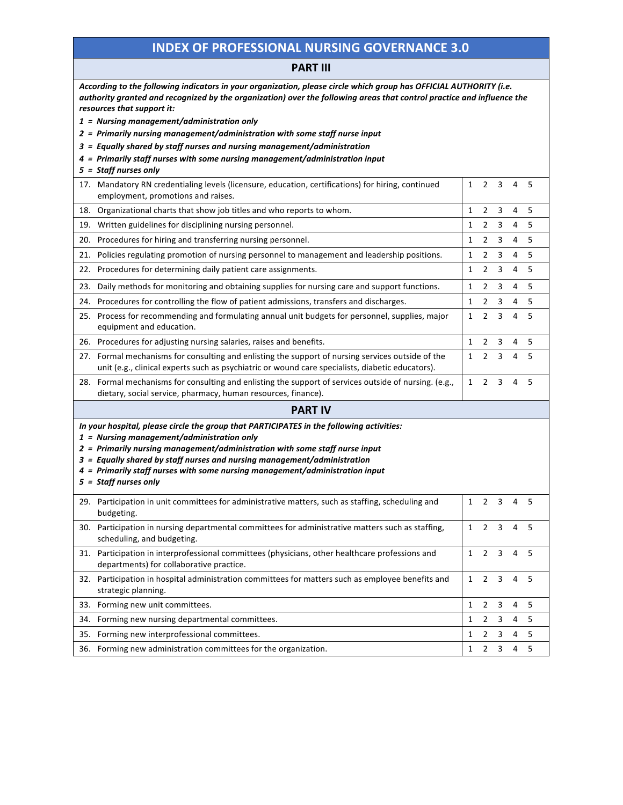### **INDEX OF PROFESSIONAL NURSING GOVERNANCE 3.0**

#### **PART III**

| According to the following indicators in your organization, please circle which group has OFFICIAL AUTHORITY (i.e.<br>authority granted and recognized by the organization) over the following areas that control practice and influence the<br>resources that support it:<br>$1$ = Nursing management/administration only<br>2 = Primarily nursing management/administration with some staff nurse input      |              |                |   |   |   |  |  |  |
|----------------------------------------------------------------------------------------------------------------------------------------------------------------------------------------------------------------------------------------------------------------------------------------------------------------------------------------------------------------------------------------------------------------|--------------|----------------|---|---|---|--|--|--|
| 3 = Equally shared by staff nurses and nursing management/administration<br>4 = Primarily staff nurses with some nursing management/administration input                                                                                                                                                                                                                                                       |              |                |   |   |   |  |  |  |
| 5 = Staff nurses only                                                                                                                                                                                                                                                                                                                                                                                          |              |                |   |   |   |  |  |  |
| 17. Mandatory RN credentialing levels (licensure, education, certifications) for hiring, continued<br>employment, promotions and raises.                                                                                                                                                                                                                                                                       | $\mathbf{1}$ | 2              | 3 | 4 | 5 |  |  |  |
| 18. Organizational charts that show job titles and who reports to whom.                                                                                                                                                                                                                                                                                                                                        | 1            | 2              | 3 | 4 | 5 |  |  |  |
| 19. Written guidelines for disciplining nursing personnel.                                                                                                                                                                                                                                                                                                                                                     | 1            | 2              | 3 | 4 | 5 |  |  |  |
| 20. Procedures for hiring and transferring nursing personnel.                                                                                                                                                                                                                                                                                                                                                  | 1            | 2              | 3 | 4 | 5 |  |  |  |
| 21. Policies regulating promotion of nursing personnel to management and leadership positions.                                                                                                                                                                                                                                                                                                                 | 1            | 2              | 3 | 4 | 5 |  |  |  |
| 22. Procedures for determining daily patient care assignments.                                                                                                                                                                                                                                                                                                                                                 | 1            | 2              | 3 | 4 | 5 |  |  |  |
| 23. Daily methods for monitoring and obtaining supplies for nursing care and support functions.                                                                                                                                                                                                                                                                                                                | 1            | 2              | 3 | 4 | 5 |  |  |  |
| 24. Procedures for controlling the flow of patient admissions, transfers and discharges.                                                                                                                                                                                                                                                                                                                       | 1            | 2              | 3 | 4 | 5 |  |  |  |
| 25. Process for recommending and formulating annual unit budgets for personnel, supplies, major<br>equipment and education.                                                                                                                                                                                                                                                                                    | 1            | 2              | 3 | 4 | 5 |  |  |  |
| 26. Procedures for adjusting nursing salaries, raises and benefits.                                                                                                                                                                                                                                                                                                                                            | 1            | 2              | 3 | 4 | 5 |  |  |  |
| 27. Formal mechanisms for consulting and enlisting the support of nursing services outside of the<br>unit (e.g., clinical experts such as psychiatric or wound care specialists, diabetic educators).                                                                                                                                                                                                          | 1            | $\overline{2}$ | 3 | 4 | 5 |  |  |  |
| 28. Formal mechanisms for consulting and enlisting the support of services outside of nursing. (e.g.,<br>dietary, social service, pharmacy, human resources, finance).                                                                                                                                                                                                                                         | 1            | 2              | 3 | 4 | 5 |  |  |  |
| <b>PART IV</b>                                                                                                                                                                                                                                                                                                                                                                                                 |              |                |   |   |   |  |  |  |
| In your hospital, please circle the group that PARTICIPATES in the following activities:<br>$1$ = Nursing management/administration only<br>2 = Primarily nursing management/administration with some staff nurse input<br>3 = Equally shared by staff nurses and nursing management/administration<br>4 = Primarily staff nurses with some nursing management/administration input<br>$5 = Staff$ nurses only |              |                |   |   |   |  |  |  |
| 29. Participation in unit committees for administrative matters, such as staffing, scheduling and<br>budgeting.                                                                                                                                                                                                                                                                                                | $\mathbf{1}$ | $\overline{2}$ | 3 | 4 | 5 |  |  |  |
| 30. Participation in nursing departmental committees for administrative matters such as staffing,<br>scheduling, and budgeting.                                                                                                                                                                                                                                                                                | 1            | 2              | 3 | 4 | 5 |  |  |  |
| 31. Participation in interprofessional committees (physicians, other healthcare professions and<br>departments) for collaborative practice.                                                                                                                                                                                                                                                                    | $\mathbf{1}$ | $\overline{2}$ | 3 | 4 | 5 |  |  |  |
| 32. Participation in hospital administration committees for matters such as employee benefits and<br>strategic planning.                                                                                                                                                                                                                                                                                       | $\mathbf{1}$ | $\overline{2}$ | 3 | 4 | 5 |  |  |  |
| 33. Forming new unit committees.                                                                                                                                                                                                                                                                                                                                                                               | 1            | 2              | 3 | 4 | 5 |  |  |  |
| 34. Forming new nursing departmental committees.                                                                                                                                                                                                                                                                                                                                                               | 1            | $\overline{2}$ | 3 | 4 | 5 |  |  |  |
| 35. Forming new interprofessional committees.                                                                                                                                                                                                                                                                                                                                                                  | 1            | $\overline{2}$ | 3 | 4 | 5 |  |  |  |
| 36. Forming new administration committees for the organization.                                                                                                                                                                                                                                                                                                                                                | 1            | $\overline{2}$ | 3 | 4 | 5 |  |  |  |